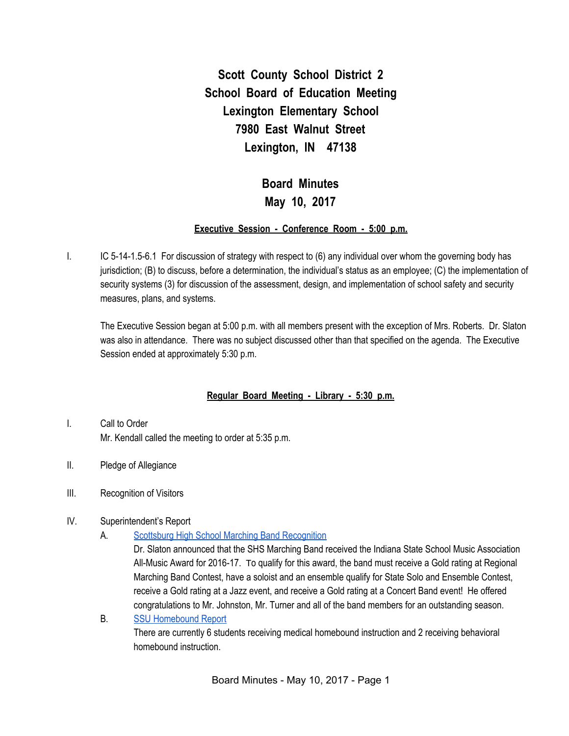**Scott County School District 2 School Board of Education Meeting Lexington Elementary School 7980 East Walnut Street Lexington, IN 47138**

# **Board Minutes May 10, 2017**

### **Executive Session - Conference Room - 5:00 p.m.**

I. IC 5-14-1.5-6.1 For discussion of strategy with respect to (6) any individual over whom the governing body has jurisdiction; (B) to discuss, before a determination, the individual's status as an employee; (C) the implementation of security systems (3) for discussion of the assessment, design, and implementation of school safety and security measures, plans, and systems.

The Executive Session began at 5:00 p.m. with all members present with the exception of Mrs. Roberts. Dr. Slaton was also in attendance. There was no subject discussed other than that specified on the agenda. The Executive Session ended at approximately 5:30 p.m.

### **Regular Board Meeting - Library - 5:30 p.m.**

- I. Call to Order Mr. Kendall called the meeting to order at 5:35 p.m.
- II. Pledge of Allegiance
- III. Recognition of Visitors
- IV. Superintendent's Report
	- A. Scottsburg High School Marching Band [Recognition](https://drive.google.com/file/d/0BxXvxnGh3EX1Nm9xQmpxakFZYVVFNlZ5WmhNVmxGNDZLdFNj/view)

Dr. Slaton announced that the SHS Marching Band received the Indiana State School Music Association All-Music Award for 2016-17. To qualify for this award, the band must receive a Gold rating at Regional Marching Band Contest, have a soloist and an ensemble qualify for State Solo and Ensemble Contest, receive a Gold rating at a Jazz event, and receive a Gold rating at a Concert Band event! He offered congratulations to Mr. Johnston, Mr. Turner and all of the band members for an outstanding season.

B. SSU [Homebound](https://docs.google.com/spreadsheets/d/1VheqtRj2pRzzsOXHZmV1XJ-BT_9t20zL9jNSYn-DTRc/edit#gid=0) Report There are currently 6 students receiving medical homebound instruction and 2 receiving behavioral homebound instruction.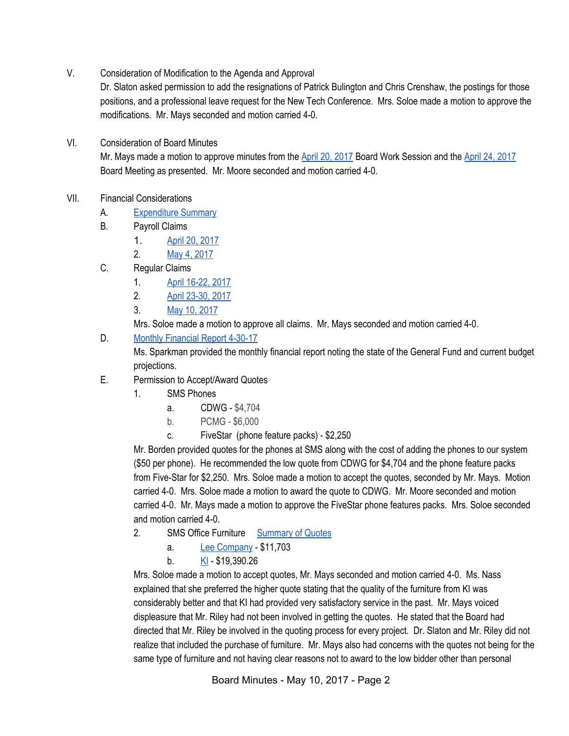V. Consideration of Modification to the Agenda and Approval

Dr. Slaton asked permission to add the resignations of Patrick Bulington and Chris Crenshaw, the postings for those positions, and a professional leave request for the New Tech Conference. Mrs. Soloe made a motion to approve the modifications. Mr. Mays seconded and motion carried 4-0.

VI. Consideration of Board Minutes

Mr. Mays made a motion to approve minutes from the April 20, [2017](https://docs.google.com/document/d/1vFonehOxkpbqIyIN2HWD9kM0xnnuFfXaUYAC3CRbMU4/edit) Board Work Session and the April 24, [2017](https://docs.google.com/document/d/1Mbg6dp_oOWfzQcDLTQDBf9hprypUlzRwr8qXw3cQhWE/edit) Board Meeting as presented. Mr. Moore seconded and motion carried 4-0.

- VII. Financial Considerations
	- A. [Expenditure](https://drive.google.com/file/d/0BxXvxnGh3EX1LWxGS242bkxNdzNsejY4MmZLX3UzVEllanFz/view) Summary
	- B. Payroll Claims
		- 1. April 20, [2017](https://drive.google.com/file/d/0BxXvxnGh3EX1RVR5dGpFenAwUlZmc3VpQ1MzRXJ0S0tRTVV3/view)
		- 2. May 4, [2017](https://drive.google.com/file/d/0BxXvxnGh3EX1bXhjMkhvWE5fbjM5eTN2cS05Y2lCZHF3Z0I0/view)
	- C. Regular Claims
		- 1. April [16-22,](https://drive.google.com/file/d/0BxXvxnGh3EX1WHJrWXNFQTd4MWRmVXpCZGlyNXVEbWFtbndr/view) 2017
		- 2. April [23-30,](https://drive.google.com/file/d/0BxXvxnGh3EX1LXQwZ19vUktMWEs2Y09sRGNnQXVYYTBDMndr/view) 2017
		- 3. May 10, [2017](https://drive.google.com/file/d/0BxXvxnGh3EX1RWk0NHVFZDJTZUtiXy1Id190NnA1dFVobFFN/view)

Mrs. Soloe made a motion to approve all claims. Mr. Mays seconded and motion carried 4-0.

D. Monthly [Financial](https://drive.google.com/file/d/0BxXvxnGh3EX1UE9Cb283emh5WnBxM0QyY1ZZVFVqRklTWkxr/view) Report 4-30-17

Ms. Sparkman provided the monthly financial report noting the state of the General Fund and current budget projections.

- E. Permission to Accept/Award Quotes
	- 1. SMS Phones
		- a. CDWG \$4,704
		- b. PCMG \$6,000
		- c. FiveStar (phone feature packs) \$2,250

Mr. Borden provided quotes for the phones at SMS along with the cost of adding the phones to our system (\$50 per phone). He recommended the low quote from CDWG for \$4,704 and the phone feature packs from Five-Star for \$2,250. Mrs. Soloe made a motion to accept the quotes, seconded by Mr. Mays. Motion carried 4-0. Mrs. Soloe made a motion to award the quote to CDWG. Mr. Moore seconded and motion carried 4-0. Mr. Mays made a motion to approve the FiveStar phone features packs. Mrs. Soloe seconded and motion carried 4-0.

- 2. SMS Office Furniture [Summary](https://drive.google.com/file/d/0BxXvxnGh3EX1MUxMZkFIWERqUVBrR1hHa0hFZlVrX25vd2JN/view) of Quotes
	- a. Lee [Company](https://drive.google.com/file/d/0BxXvxnGh3EX1Y1dzS3Z3eTFOaTF2Wm1nYUlBMF91MDRyczFv/view) \$11,703
	- b. [KI](https://drive.google.com/file/d/0BxXvxnGh3EX1dXdNNGZXSjh5dTVFMllNN2h4eGRoWlBJS1Bz/view) \$19,390.26

Mrs. Soloe made a motion to accept quotes, Mr. Mays seconded and motion carried 4-0. Ms. Nass explained that she preferred the higher quote stating that the quality of the furniture from KI was considerably better and that KI had provided very satisfactory service in the past. Mr. Mays voiced displeasure that Mr. Riley had not been involved in getting the quotes. He stated that the Board had directed that Mr. Riley be involved in the quoting process for every project. Dr. Slaton and Mr. Riley did not realize that included the purchase of furniture. Mr. Mays also had concerns with the quotes not being for the same type of furniture and not having clear reasons not to award to the low bidder other than personal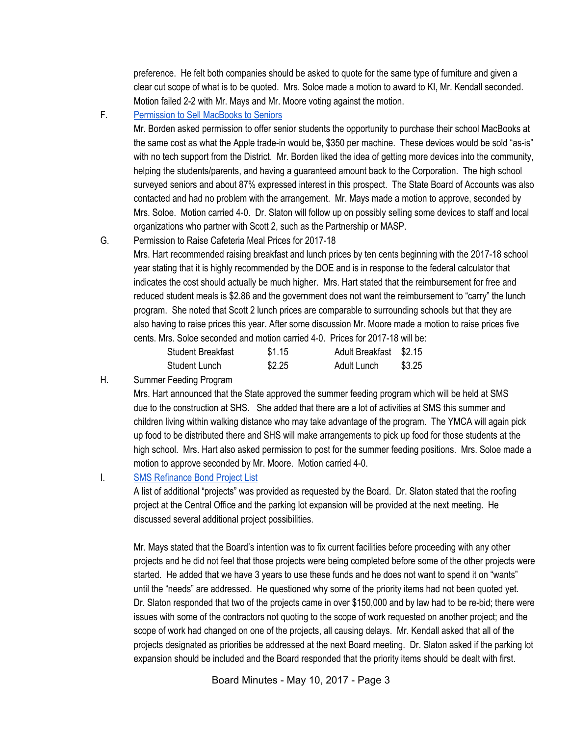preference. He felt both companies should be asked to quote for the same type of furniture and given a clear cut scope of what is to be quoted. Mrs. Soloe made a motion to award to KI, Mr. Kendall seconded. Motion failed 2-2 with Mr. Mays and Mr. Moore voting against the motion.

F. [Permission](https://drive.google.com/file/d/0BxXvxnGh3EX1ZHE3cUhXZ0M1X2NGSE5pcUs3dGkxLXpUUXlZ/view) to Sell MacBooks to Seniors

Mr. Borden asked permission to offer senior students the opportunity to purchase their school MacBooks at the same cost as what the Apple trade-in would be, \$350 per machine. These devices would be sold "as-is" with no tech support from the District. Mr. Borden liked the idea of getting more devices into the community, helping the students/parents, and having a guaranteed amount back to the Corporation. The high school surveyed seniors and about 87% expressed interest in this prospect. The State Board of Accounts was also contacted and had no problem with the arrangement. Mr. Mays made a motion to approve, seconded by Mrs. Soloe. Motion carried 4-0. Dr. Slaton will follow up on possibly selling some devices to staff and local organizations who partner with Scott 2, such as the Partnership or MASP.

G. Permission to Raise Cafeteria Meal Prices for 2017-18

Mrs. Hart recommended raising breakfast and lunch prices by ten cents beginning with the 2017-18 school year stating that it is highly recommended by the DOE and is in response to the federal calculator that indicates the cost should actually be much higher. Mrs. Hart stated that the reimbursement for free and reduced student meals is \$2.86 and the government does not want the reimbursement to "carry" the lunch program. She noted that Scott 2 lunch prices are comparable to surrounding schools but that they are also having to raise prices this year. After some discussion Mr. Moore made a motion to raise prices five cents. Mrs. Soloe seconded and motion carried 4-0. Prices for 2017-18 will be:

| <b>Student Breakfast</b> | \$1.15 | Adult Breakfast \$2.15 |        |
|--------------------------|--------|------------------------|--------|
| Student Lunch            | \$2.25 | Adult Lunch            | \$3.25 |

H. Summer Feeding Program

Mrs. Hart announced that the State approved the summer feeding program which will be held at SMS due to the construction at SHS. She added that there are a lot of activities at SMS this summer and children living within walking distance who may take advantage of the program. The YMCA will again pick up food to be distributed there and SHS will make arrangements to pick up food for those students at the high school. Mrs. Hart also asked permission to post for the summer feeding positions. Mrs. Soloe made a motion to approve seconded by Mr. Moore. Motion carried 4-0.

I. SMS [Refinance](https://docs.google.com/a/scsd2.k12.in.us/spreadsheets/d/1pWH3rbchcrrGXVxMMEs2ujL9rvqQGHh7KjK2C-ZYbQQ/edit?usp=sharing) Bond Project List

A list of additional "projects" was provided as requested by the Board. Dr. Slaton stated that the roofing project at the Central Office and the parking lot expansion will be provided at the next meeting. He discussed several additional project possibilities.

Mr. Mays stated that the Board's intention was to fix current facilities before proceeding with any other projects and he did not feel that those projects were being completed before some of the other projects were started. He added that we have 3 years to use these funds and he does not want to spend it on "wants" until the "needs" are addressed. He questioned why some of the priority items had not been quoted yet. Dr. Slaton responded that two of the projects came in over \$150,000 and by law had to be re-bid; there were issues with some of the contractors not quoting to the scope of work requested on another project; and the scope of work had changed on one of the projects, all causing delays. Mr. Kendall asked that all of the projects designated as priorities be addressed at the next Board meeting. Dr. Slaton asked if the parking lot expansion should be included and the Board responded that the priority items should be dealt with first.

Board Minutes - May 10, 2017 - Page 3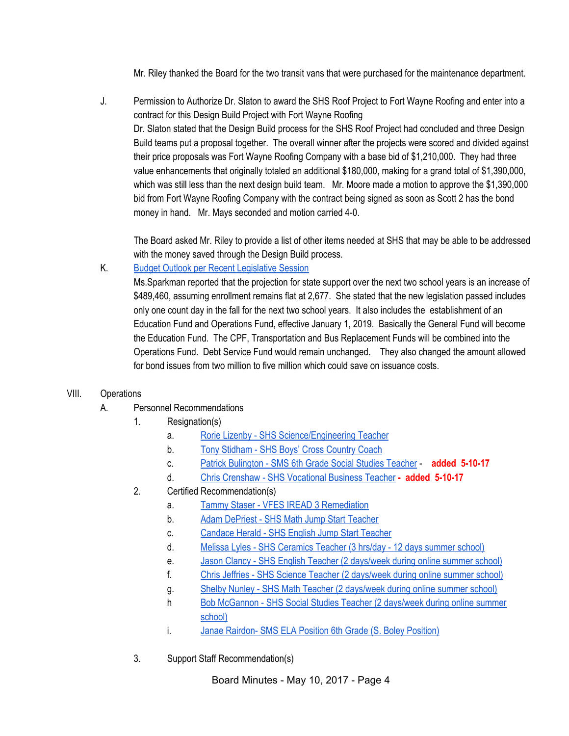Mr. Riley thanked the Board for the two transit vans that were purchased for the maintenance department.

J. Permission to Authorize Dr. Slaton to award the SHS Roof Project to Fort Wayne Roofing and enter into a contract for this Design Build Project with Fort Wayne Roofing Dr. Slaton stated that the Design Build process for the SHS Roof Project had concluded and three Design Build teams put a proposal together. The overall winner after the projects were scored and divided against their price proposals was Fort Wayne Roofing Company with a base bid of \$1,210,000. They had three value enhancements that originally totaled an additional \$180,000, making for a grand total of \$1,390,000, which was still less than the next design build team. Mr. Moore made a motion to approve the \$1,390,000 bid from Fort Wayne Roofing Company with the contract being signed as soon as Scott 2 has the bond money in hand. Mr. Mays seconded and motion carried 4-0.

The Board asked Mr. Riley to provide a list of other items needed at SHS that may be able to be addressed with the money saved through the Design Build process.

### K. Budget Outlook per Recent [Legislative](https://drive.google.com/file/d/0BxXvxnGh3EX1bXE0c05KclVaV2cwQ2pmX3dId3RzWkR6UWFR/view) Session

Ms.Sparkman reported that the projection for state support over the next two school years is an increase of \$489,460, assuming enrollment remains flat at 2,677. She stated that the new legislation passed includes only one count day in the fall for the next two school years. It also includes the establishment of an Education Fund and Operations Fund, effective January 1, 2019. Basically the General Fund will become the Education Fund. The CPF, Transportation and Bus Replacement Funds will be combined into the Operations Fund. Debt Service Fund would remain unchanged. They also changed the amount allowed for bond issues from two million to five million which could save on issuance costs.

#### VIII. Operations

- A. Personnel Recommendations
	- 1. Resignation(s)
		- a. Rorie Lizenby SHS [Science/Engineering](https://drive.google.com/file/d/0BxXvxnGh3EX1QzdMaEpHZ1p5aDV1NkpaRkp1ZTJqV29BMk9n/view) Teacher
		- b. Tony [Stidham](https://drive.google.com/file/d/0BxXvxnGh3EX1Zi1tbEdsZ0pWc3BoVm5NTjUzQ3dTSHVGZVRv/view) SHS Boys' Cross Country Coach
		- c. Patrick [Bulington](https://drive.google.com/file/d/0BxXvxnGh3EX1MFVLYl9OYVg4Y1JlY1JKU3hRTDZ1ZGlJWkg4/view) SMS 6th Grade Social Studies Teacher **added 5-10-17**
		- d. Chris Crenshaw SHS [Vocational](https://drive.google.com/file/d/0BxXvxnGh3EX1MnRZbzZ6bXByNkpmbTBHd2R4NmJNb2RLSnlR/view) Business Teacher **- added 5-10-17**
	- 2. Certified Recommendation(s)
		- a. Tammy Staser VFES IREAD 3 [Remediation](https://drive.google.com/file/d/0BxXvxnGh3EX1cUFwMFREOXRpTGhGSFlpSHdZdFJGd3dXWXlR/view)
		- b. Adam [DePriest](https://drive.google.com/file/d/0BxXvxnGh3EX1OUR1cnViRTNlX191YndCWEpzZFpVZ1FYSm5V/view) SHS Math Jump Start Teacher
		- c. [Candace](https://drive.google.com/file/d/0BxXvxnGh3EX1VjVTSkFPTFc1VlpxQk1ZWS1Ta2hzZXhzQ2hV/view) Herald SHS English Jump Start Teacher
		- d. Melissa Lyles SHS [Ceramics](https://drive.google.com/file/d/0BxXvxnGh3EX1Z0dqdGMwaEx1RG5MNWNuc0phVUZKSzBsMHBJ/view) Teacher (3 hrs/day 12 days summer school)
		- e. Jason Clancy SHS English Teacher (2 [days/week](https://drive.google.com/file/d/0BxXvxnGh3EX1VmJXa0JrRS02MVd5YlNWak5Kd2hSR1BZQTJz/view) during online summer school)
		- f. Chris Jeffries SHS Science Teacher (2 [days/week](https://drive.google.com/file/d/0BxXvxnGh3EX1NFlubV90XzZTaElvekdwQmY3aG5nQ0lQdUxz/view) during online summer school)
		- g. Shelby Nunley SHS Math Teacher (2 [days/week](https://drive.google.com/file/d/0BxXvxnGh3EX1MzJMRTFta2w3c2VLMWp2dm9lRkkwWlpMR1pz/view) during online summer school)
		- h Bob [McGannon](https://drive.google.com/file/d/0BxXvxnGh3EX1aFozRUJuUV9LcjNsc0JyRmp3c3Y1VTMxbWZz/view) SHS Social Studies Teacher (2 days/week during online summer [school\)](https://drive.google.com/file/d/0BxXvxnGh3EX1aFozRUJuUV9LcjNsc0JyRmp3c3Y1VTMxbWZz/view)
		- i. Janae Rairdon- SMS ELA Position 6th Grade (S. Boley [Position\)](https://drive.google.com/file/d/0BxXvxnGh3EX1TE9PQnB2S1JwM0lFUGZwSDJmb3cwUEZIdWNF/view)
	- 3. Support Staff Recommendation(s)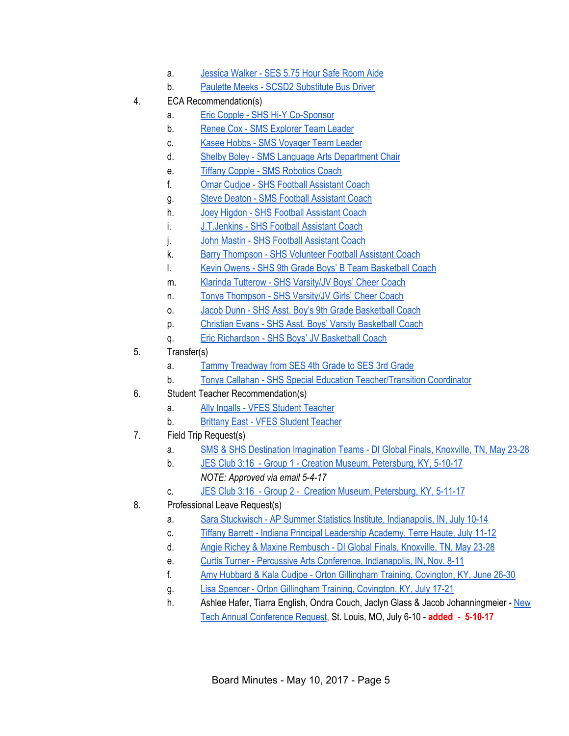- a. [Jessica](https://drive.google.com/file/d/0BxXvxnGh3EX1NHF6Qng4ejY5WUxfOE95OC1rM1BPSlo0U2hN/view) Walker SES 5.75 Hour Safe Room Aide
- b. Paulette Meeks SCSD2 [Substitute](https://drive.google.com/file/d/0BxXvxnGh3EX1ZnN1TkEtR3lBWktZaHF6MWxqSWd6Tl9VbjRr/view) Bus Driver
- 4. ECA Recommendation(s)
	- a. Eric Copple SHS Hi-Y [Co-Sponsor](https://drive.google.com/file/d/0BxXvxnGh3EX1czNwYVIwUUdoR2JXMUxydk5EUFYza3RsRExJ/view)
	- b. Renee Cox SMS [Explorer](https://drive.google.com/file/d/0BxXvxnGh3EX1bzhuOUJHZlFHRUZyS29TRkJFN3EwZWE1cFNN/view) Team Leader
	- c. Kasee Hobbs SMS [Voyager](https://drive.google.com/file/d/0BxXvxnGh3EX1TkNBOS1DT1dEN21XT0hpM1doa09MZm9yRlAw/view) Team Leader
	- d. Shelby Boley SMS Language Arts [Department](https://drive.google.com/file/d/0BxXvxnGh3EX1X3ZwM212c25jdDRPWEhGamlzVk9oZlRidnZ3/view) Chair
	- e. Tiffany Copple SMS [Robotics](https://drive.google.com/file/d/0BxXvxnGh3EX1bXVMeE1UcVhzN3R6am5qQ3JOMHh0eW9rdm1B/view) Coach
	- f. Omar Cudjoe SHS Football [Assistant](https://drive.google.com/file/d/0BxXvxnGh3EX1aWNCcl9TeWpoSVI0MzdpWVJ1OUtkVGVFWm5j/view) Coach
	- g. Steve Deaton SMS Football [Assistant](https://drive.google.com/file/d/0BxXvxnGh3EX1SDlPZnlJMW0tVGdZZ0cwS0NnVGtIMUFTZ2s0/view) Coach
	- h. Joey Higdon SHS Football [Assistant](https://drive.google.com/file/d/0BxXvxnGh3EX1dk1uSzB0NFN6YWtCQUpxYkdDZDRXVFp0WjdB/view) Coach
	- i. [J.T.Jenkins](https://drive.google.com/file/d/0BxXvxnGh3EX1R0ZYZEtqNTJtaVVyeTRadVp1a3RibEhoY2Fn/view) SHS Football Assistant Coach
	- j. John Mastin SHS Football [Assistant](https://drive.google.com/file/d/0BxXvxnGh3EX1VlVOOW8ycks2WVZZVlVSdkxQa0FzNGh3MHVr/view) Coach
	- k. Barry [Thompson](https://drive.google.com/file/d/0BxXvxnGh3EX1UG15NmVOdmNJTHhvMjFIclRDSTJwdjdIMjJv/view) SHS Volunteer Football Assistant Coach
	- l. Kevin Owens SHS 9th Grade Boys' B Team [Basketball](https://drive.google.com/file/d/0BxXvxnGh3EX1ZWRQcHdSMTYwVVdDQkdqTW9XRENBQUljSG9Z/view) Coach
	- m. Klarinda Tutterow SHS [Varsity/JV](https://drive.google.com/file/d/0BxXvxnGh3EX1YXZBcDV1cnYxdTBuZjkxOGRSTUNOY09hOExV/view) Boys' Cheer Coach
	- n. Tonya [Thompson](https://drive.google.com/file/d/0BxXvxnGh3EX1dkFrZE9GT2xwUllEUnA2NkhaNmMxUS1ZWHF3/view) SHS Varsity/JV Girls' Cheer Coach
	- o. Jacob Dunn SHS Asst. Boy's 9th Grade [Basketball](https://drive.google.com/file/d/0BxXvxnGh3EX1bjFTUW14ejJUTnY1VU5xdjNKZWg4RWdDbzZr/view) Coach
	- p. Christian Evans SHS Asst. Boys' Varsity [Basketball](https://drive.google.com/file/d/0BxXvxnGh3EX1RFRDUERnRE9vVGZtakNxWTV6LUFRUHZxdmFn/view) Coach
	- q. Eric [Richardson](https://drive.google.com/file/d/0BxXvxnGh3EX1bmY2T1YzeXlhTl90YVo3aW9rTE9JemM0dVJr/view) SHS Boys' JV Basketball Coach
- 5. Transfer(s)
	- a. Tammy [Treadway](https://drive.google.com/file/d/0BxXvxnGh3EX1N05FdVhIYXd6X09wRU5iU1gxUjNPWGwwamQw/view) from SES 4th Grade to SES 3rd Grade
	- b. Tonya Callahan SHS Special Education [Teacher/Transition](https://drive.google.com/file/d/0BxXvxnGh3EX1a1BfbHhqNnRRWW5CSW5fenhYZ21IS2ZOR1Zj/view) Coordinator
- 6. Student Teacher Recommendation(s)
	- a. Ally Ingalls VFES Student [Teacher](https://drive.google.com/file/d/0BxXvxnGh3EX1RjlOcndMa0Q0ekRyS3Rfc0FieU8wUTVuQ1Fn/view)
	- b. Brittany East VFES Student [Teacher](https://drive.google.com/file/d/0BxXvxnGh3EX1VzdUeGFYb3huNVBJN2JkMEMzYmpuVVZrNUhv/view)
- 7. Field Trip Request(s)
	- a. SMS & SHS Destination [Imagination](https://drive.google.com/file/d/0BxXvxnGh3EX1TUZtVERqWEFLN1ZoUjF4VHhUMTdrbXpjV3Bj/view) Teams DI Global Finals, Knoxville, TN, May 23-28
	- b. JES Club 3:16 Group 1 Creation Museum, [Petersburg,](https://drive.google.com/file/d/0BxXvxnGh3EX1R1ZqRjJNY0RPUVNZQWZoLWNaSERIM1JKZ3pj/view) KY, 5-10-17 *NOTE: Approved via email 5-4-17*
	- c. JES Club 3:16 Group 2 Creation Museum, [Petersburg,](https://drive.google.com/file/d/0BxXvxnGh3EX1X2NZRzcybnhGZHIyQnVmX2ZtSkQ3RVEzQ0VF/view) KY, 5-11-17
- 8. Professional Leave Request(s)
	- a. Sara Stuckwisch AP Summer Statistics Institute, [Indianapolis,](https://drive.google.com/file/d/0BxXvxnGh3EX1d2hCb3dUNUppVnc0VEl0LWVTbnF1ZU9YekpZ/view) IN, July 10-14
	- c. Tiffany Barrett Indiana Principal [Leadership](https://drive.google.com/file/d/0BxXvxnGh3EX1Mi0weldwdE5PNWxhWkdnWFlrVWhBMWZROEF3/view) Academy, Terre Haute, July 11-12
	- d. Angie Richey & Maxine [Rembusch](https://drive.google.com/file/d/0BxXvxnGh3EX1cUNjRjJ5Y3pUMWNScVl5cFZ3dkdHbUNQMk5J/view) DI Global Finals, Knoxville, TN, May 23-28
	- e. Curtis Turner Percussive Arts Conference, [Indianapolis,](https://drive.google.com/file/d/0BxXvxnGh3EX1R21SNVNZb1JRRVhmdzJhQ3pmTndmQzY2VlU4/view) IN, Nov. 8-11
	- f. Amy Hubbard & Kala Cudjoe Orton Gillingham Training, [Covington,](https://drive.google.com/file/d/0BxXvxnGh3EX1SjBFYUc5Y09NOUFNTk5NU09mU3I0ZFYxQlNJ/view) KY, June 26-30
	- g. Lisa Spencer Orton Gillingham Training, [Covington,](https://drive.google.com/file/d/0BxXvxnGh3EX1UDhuQ0FNRzJqSll5OTFoajRIMGxlREhabDBR/view) KY, July 17-21
	- h. Ashlee Hafer, Tiarra English, Ondra Couch, Jaclyn Glass & Jacob Johanningmeier [New](https://drive.google.com/file/d/0BxXvxnGh3EX1d1NUQ3FxdWREcmhpa0dVRmVhaksxYTJXMzZJ/view) Tech Annual [Conference](https://drive.google.com/file/d/0BxXvxnGh3EX1d1NUQ3FxdWREcmhpa0dVRmVhaksxYTJXMzZJ/view) Request, St. Louis, MO, July 6-10 - **added - 5-10-17**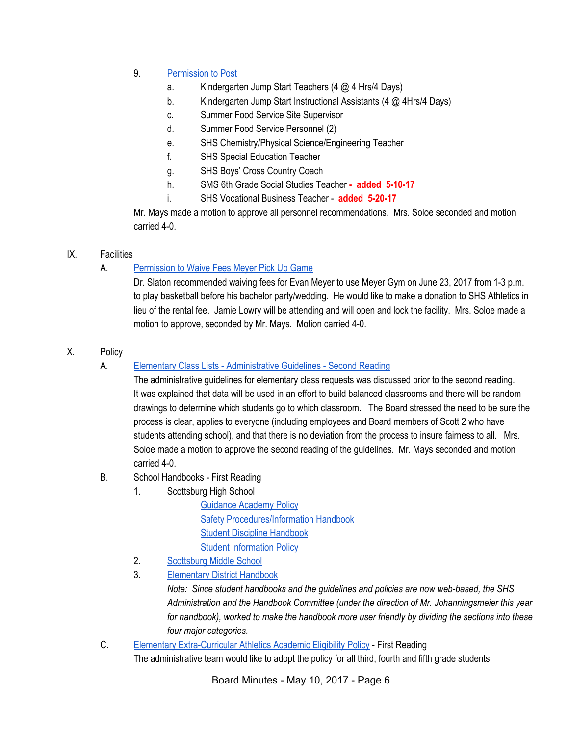## 9. [Permission](https://docs.google.com/document/d/1RcHyeqVmPk-nGzmkKTr-ZTop_EMviQdYSR-gCRbM2RE/edit) to Post

- a. Kindergarten Jump Start Teachers (4 @ 4 Hrs/4 Days)
- b. Kindergarten Jump Start Instructional Assistants (4 @ 4Hrs/4 Days)
- c. Summer Food Service Site Supervisor
- d. Summer Food Service Personnel (2)
- e. SHS Chemistry/Physical Science/Engineering Teacher
- f. SHS Special Education Teacher
- g. SHS Boys' Cross Country Coach
- h. SMS 6th Grade Social Studies Teacher **- added 5-10-17**
- i. SHS Vocational Business Teacher **added 5-20-17**

Mr. Mays made a motion to approve all personnel recommendations. Mrs. Soloe seconded and motion carried 4-0.

### IX. Facilities

## A. [Permission](https://drive.google.com/file/d/0BxXvxnGh3EX1bUpKN3B1NzFmSFhiSWlQRWplMlhaX0YwZ0NR/view) to Waive Fees Meyer Pick Up Game

Dr. Slaton recommended waiving fees for Evan Meyer to use Meyer Gym on June 23, 2017 from 1-3 p.m. to play basketball before his bachelor party/wedding. He would like to make a donation to SHS Athletics in lieu of the rental fee. Jamie Lowry will be attending and will open and lock the facility. Mrs. Soloe made a motion to approve, seconded by Mr. Mays. Motion carried 4-0.

### X. Policy

### A. Elementary Class Lists - [Administrative](https://docs.google.com/document/d/1L1AGnv06mzB4EgyBJbJpcxpe1oAsG3rH4w2eTa81zqs/edit?ts=58f653db) Guidelines - Second Reading

The administrative guidelines for elementary class requests was discussed prior to the second reading. It was explained that data will be used in an effort to build balanced classrooms and there will be random drawings to determine which students go to which classroom. The Board stressed the need to be sure the process is clear, applies to everyone (including employees and Board members of Scott 2 who have students attending school), and that there is no deviation from the process to insure fairness to all. Mrs. Soloe made a motion to approve the second reading of the guidelines. Mr. Mays seconded and motion carried 4-0.

### B. School Handbooks - First Reading

1. Scottsburg High School

[Guidance](https://drive.google.com/file/d/0BxXvxnGh3EX1cGIwM0xkcEo3cTFnRnRIV0JsWDIwdXdDNWFZ/view) Academy Policy Safety [Procedures/Information](https://drive.google.com/file/d/0BxXvxnGh3EX1a3hoSVhHakE3NWp1YzU5WW9GbUlSQ3RnZTRv/view) Handbook Student Discipline [Handbook](https://drive.google.com/file/d/0BxXvxnGh3EX1Y2c5eWFxelBCZXdhTHhFZkxuWVg2Z3hMSmtr/view) Student [Information](https://drive.google.com/file/d/0BxXvxnGh3EX1SVNDbk52Y08xSTRkNnNlRTAzNUlGcXJjY3BN/view) Policy

- 2. [Scottsburg](https://docs.google.com/document/d/1wuUIT5Ktu8UYNbK9LZcIh3Uvk5aUx0ZurrHTyEHdKWg/edit) Middle School
- 3. [Elementary](https://docs.google.com/document/d/1I7yVb4vuvWrXiB5Fcr9Oz6ASbFJ5PeoEWe6GwhcVnHE/edit) District Handbook

*Note: Since student handbooks and the guidelines and policies are now web-based, the SHS Administration and the Handbook Committee (under the direction of Mr. Johanningsmeier this year for handbook), worked to make the handbook more user friendly by dividing the sections into these four major categories.*

C. Elementary [Extra-Curricular](https://docs.google.com/document/d/1pTeiAx82tIe2ILYkVs_eHEZNlgbgzDT6oJTbMLwgqjM/edit?ts=590c8eda) Athletics Academic Eligibility Policy - First Reading

The administrative team would like to adopt the policy for all third, fourth and fifth grade students